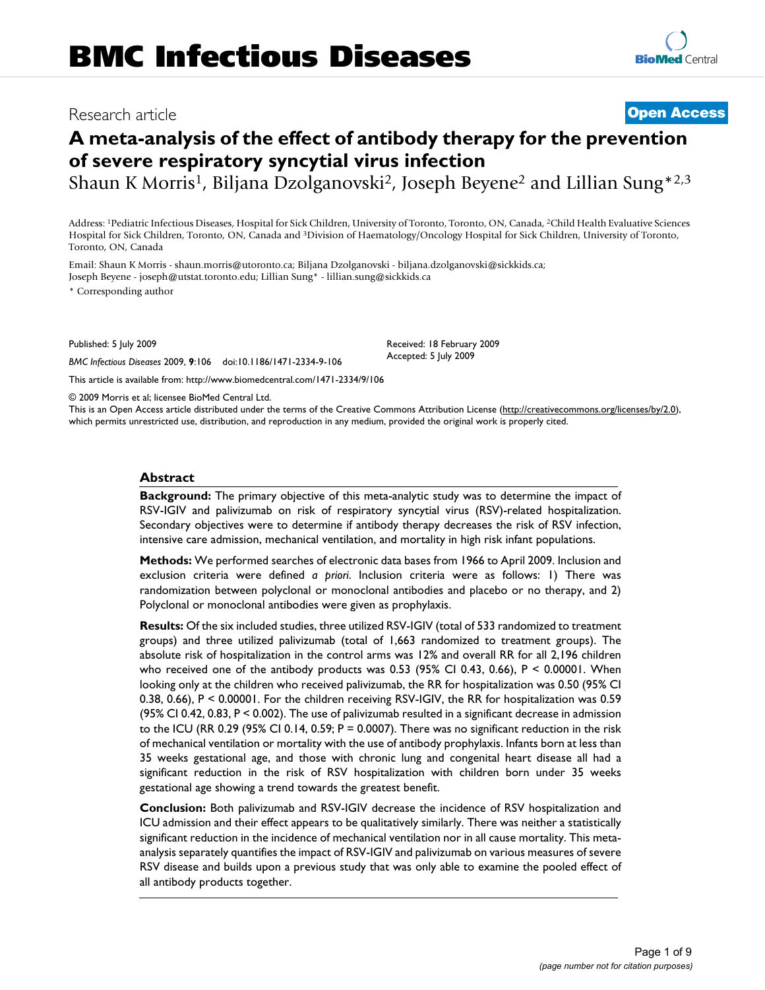# Research article **[Open Access](http://www.biomedcentral.com/info/about/charter/)**

# **A meta-analysis of the effect of antibody therapy for the prevention of severe respiratory syncytial virus infection**

Shaun K Morris<sup>1</sup>, Biljana Dzolganovski<sup>2</sup>, Joseph Beyene<sup>2</sup> and Lillian Sung<sup>\*2,3</sup>

Address: 1Pediatric Infectious Diseases, Hospital for Sick Children, University of Toronto, Toronto, ON, Canada, 2Child Health Evaluative Sciences Hospital for Sick Children, Toronto, ON, Canada and 3Division of Haematology/Oncology Hospital for Sick Children, University of Toronto, Toronto, ON, Canada

Email: Shaun K Morris - shaun.morris@utoronto.ca; Biljana Dzolganovski - biljana.dzolganovski@sickkids.ca; Joseph Beyene - joseph@utstat.toronto.edu; Lillian Sung\* - lillian.sung@sickkids.ca

\* Corresponding author

Published: 5 July 2009

*BMC Infectious Diseases* 2009, **9**:106 doi:10.1186/1471-2334-9-106

[This article is available from: http://www.biomedcentral.com/1471-2334/9/106](http://www.biomedcentral.com/1471-2334/9/106)

Accepted: 5 July 2009

Received: 18 February 2009

© 2009 Morris et al; licensee BioMed Central Ltd.

This is an Open Access article distributed under the terms of the Creative Commons Attribution License [\(http://creativecommons.org/licenses/by/2.0\)](http://creativecommons.org/licenses/by/2.0), which permits unrestricted use, distribution, and reproduction in any medium, provided the original work is properly cited.

# **Abstract**

**Background:** The primary objective of this meta-analytic study was to determine the impact of RSV-IGIV and palivizumab on risk of respiratory syncytial virus (RSV)-related hospitalization. Secondary objectives were to determine if antibody therapy decreases the risk of RSV infection, intensive care admission, mechanical ventilation, and mortality in high risk infant populations.

**Methods:** We performed searches of electronic data bases from 1966 to April 2009. Inclusion and exclusion criteria were defined *a priori*. Inclusion criteria were as follows: 1) There was randomization between polyclonal or monoclonal antibodies and placebo or no therapy, and 2) Polyclonal or monoclonal antibodies were given as prophylaxis.

**Results:** Of the six included studies, three utilized RSV-IGIV (total of 533 randomized to treatment groups) and three utilized palivizumab (total of 1,663 randomized to treatment groups). The absolute risk of hospitalization in the control arms was 12% and overall RR for all 2,196 children who received one of the antibody products was 0.53 (95% CI 0.43, 0.66),  $P \le 0.00001$ . When looking only at the children who received palivizumab, the RR for hospitalization was 0.50 (95% CI 0.38, 0.66), P < 0.00001. For the children receiving RSV-IGIV, the RR for hospitalization was 0.59 (95% CI 0.42, 0.83, P < 0.002). The use of palivizumab resulted in a significant decrease in admission to the ICU (RR 0.29 (95% CI 0.14, 0.59;  $P = 0.0007$ ). There was no significant reduction in the risk of mechanical ventilation or mortality with the use of antibody prophylaxis. Infants born at less than 35 weeks gestational age, and those with chronic lung and congenital heart disease all had a significant reduction in the risk of RSV hospitalization with children born under 35 weeks gestational age showing a trend towards the greatest benefit.

**Conclusion:** Both palivizumab and RSV-IGIV decrease the incidence of RSV hospitalization and ICU admission and their effect appears to be qualitatively similarly. There was neither a statistically significant reduction in the incidence of mechanical ventilation nor in all cause mortality. This metaanalysis separately quantifies the impact of RSV-IGIV and palivizumab on various measures of severe RSV disease and builds upon a previous study that was only able to examine the pooled effect of all antibody products together.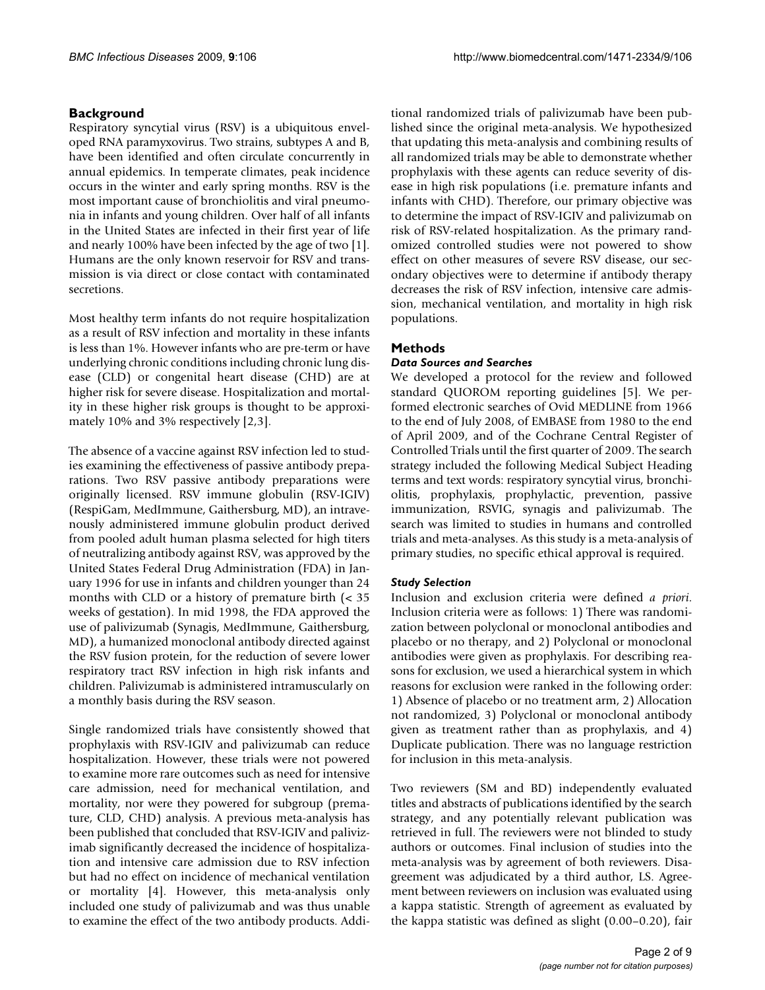# **Background**

Respiratory syncytial virus (RSV) is a ubiquitous enveloped RNA paramyxovirus. Two strains, subtypes A and B, have been identified and often circulate concurrently in annual epidemics. In temperate climates, peak incidence occurs in the winter and early spring months. RSV is the most important cause of bronchiolitis and viral pneumonia in infants and young children. Over half of all infants in the United States are infected in their first year of life and nearly 100% have been infected by the age of two [1]. Humans are the only known reservoir for RSV and transmission is via direct or close contact with contaminated secretions.

Most healthy term infants do not require hospitalization as a result of RSV infection and mortality in these infants is less than 1%. However infants who are pre-term or have underlying chronic conditions including chronic lung disease (CLD) or congenital heart disease (CHD) are at higher risk for severe disease. Hospitalization and mortality in these higher risk groups is thought to be approximately 10% and 3% respectively [2,3].

The absence of a vaccine against RSV infection led to studies examining the effectiveness of passive antibody preparations. Two RSV passive antibody preparations were originally licensed. RSV immune globulin (RSV-IGIV) (RespiGam, MedImmune, Gaithersburg, MD), an intravenously administered immune globulin product derived from pooled adult human plasma selected for high titers of neutralizing antibody against RSV, was approved by the United States Federal Drug Administration (FDA) in January 1996 for use in infants and children younger than 24 months with CLD or a history of premature birth (< 35 weeks of gestation). In mid 1998, the FDA approved the use of palivizumab (Synagis, MedImmune, Gaithersburg, MD), a humanized monoclonal antibody directed against the RSV fusion protein, for the reduction of severe lower respiratory tract RSV infection in high risk infants and children. Palivizumab is administered intramuscularly on a monthly basis during the RSV season.

Single randomized trials have consistently showed that prophylaxis with RSV-IGIV and palivizumab can reduce hospitalization. However, these trials were not powered to examine more rare outcomes such as need for intensive care admission, need for mechanical ventilation, and mortality, nor were they powered for subgroup (premature, CLD, CHD) analysis. A previous meta-analysis has been published that concluded that RSV-IGIV and palivizimab significantly decreased the incidence of hospitalization and intensive care admission due to RSV infection but had no effect on incidence of mechanical ventilation or mortality [4]. However, this meta-analysis only included one study of palivizumab and was thus unable to examine the effect of the two antibody products. Additional randomized trials of palivizumab have been published since the original meta-analysis. We hypothesized that updating this meta-analysis and combining results of all randomized trials may be able to demonstrate whether prophylaxis with these agents can reduce severity of disease in high risk populations (i.e. premature infants and infants with CHD). Therefore, our primary objective was to determine the impact of RSV-IGIV and palivizumab on risk of RSV-related hospitalization. As the primary randomized controlled studies were not powered to show effect on other measures of severe RSV disease, our secondary objectives were to determine if antibody therapy decreases the risk of RSV infection, intensive care admission, mechanical ventilation, and mortality in high risk populations.

# **Methods**

# *Data Sources and Searches*

We developed a protocol for the review and followed standard QUOROM reporting guidelines [5]. We performed electronic searches of Ovid MEDLINE from 1966 to the end of July 2008, of EMBASE from 1980 to the end of April 2009, and of the Cochrane Central Register of Controlled Trials until the first quarter of 2009. The search strategy included the following Medical Subject Heading terms and text words: respiratory syncytial virus, bronchiolitis, prophylaxis, prophylactic, prevention, passive immunization, RSVIG, synagis and palivizumab. The search was limited to studies in humans and controlled trials and meta-analyses. As this study is a meta-analysis of primary studies, no specific ethical approval is required.

# *Study Selection*

Inclusion and exclusion criteria were defined *a priori*. Inclusion criteria were as follows: 1) There was randomization between polyclonal or monoclonal antibodies and placebo or no therapy, and 2) Polyclonal or monoclonal antibodies were given as prophylaxis. For describing reasons for exclusion, we used a hierarchical system in which reasons for exclusion were ranked in the following order: 1) Absence of placebo or no treatment arm, 2) Allocation not randomized, 3) Polyclonal or monoclonal antibody given as treatment rather than as prophylaxis, and 4) Duplicate publication. There was no language restriction for inclusion in this meta-analysis.

Two reviewers (SM and BD) independently evaluated titles and abstracts of publications identified by the search strategy, and any potentially relevant publication was retrieved in full. The reviewers were not blinded to study authors or outcomes. Final inclusion of studies into the meta-analysis was by agreement of both reviewers. Disagreement was adjudicated by a third author, LS. Agreement between reviewers on inclusion was evaluated using a kappa statistic. Strength of agreement as evaluated by the kappa statistic was defined as slight (0.00–0.20), fair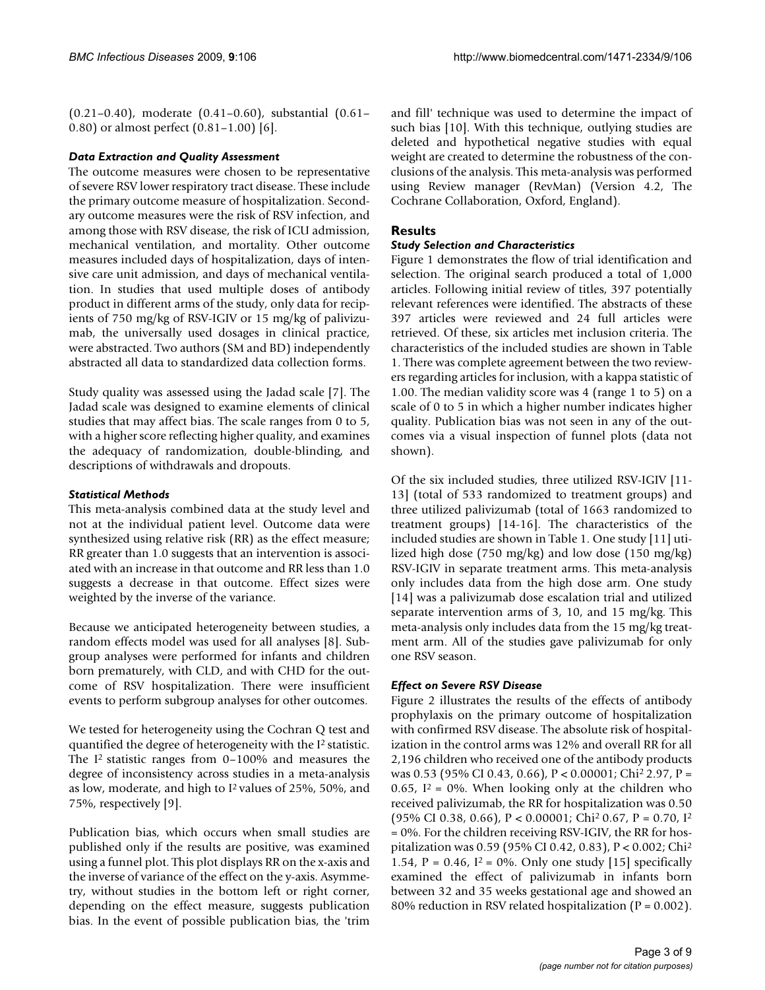(0.21–0.40), moderate (0.41–0.60), substantial (0.61– 0.80) or almost perfect (0.81–1.00) [6].

# *Data Extraction and Quality Assessment*

The outcome measures were chosen to be representative of severe RSV lower respiratory tract disease. These include the primary outcome measure of hospitalization. Secondary outcome measures were the risk of RSV infection, and among those with RSV disease, the risk of ICU admission, mechanical ventilation, and mortality. Other outcome measures included days of hospitalization, days of intensive care unit admission, and days of mechanical ventilation. In studies that used multiple doses of antibody product in different arms of the study, only data for recipients of 750 mg/kg of RSV-IGIV or 15 mg/kg of palivizumab, the universally used dosages in clinical practice, were abstracted. Two authors (SM and BD) independently abstracted all data to standardized data collection forms.

Study quality was assessed using the Jadad scale [7]. The Jadad scale was designed to examine elements of clinical studies that may affect bias. The scale ranges from 0 to 5, with a higher score reflecting higher quality, and examines the adequacy of randomization, double-blinding, and descriptions of withdrawals and dropouts.

# *Statistical Methods*

This meta-analysis combined data at the study level and not at the individual patient level. Outcome data were synthesized using relative risk (RR) as the effect measure; RR greater than 1.0 suggests that an intervention is associated with an increase in that outcome and RR less than 1.0 suggests a decrease in that outcome. Effect sizes were weighted by the inverse of the variance.

Because we anticipated heterogeneity between studies, a random effects model was used for all analyses [8]. Subgroup analyses were performed for infants and children born prematurely, with CLD, and with CHD for the outcome of RSV hospitalization. There were insufficient events to perform subgroup analyses for other outcomes.

We tested for heterogeneity using the Cochran Q test and quantified the degree of heterogeneity with the I2 statistic. The I2 statistic ranges from 0–100% and measures the degree of inconsistency across studies in a meta-analysis as low, moderate, and high to I2 values of 25%, 50%, and 75%, respectively [9].

Publication bias, which occurs when small studies are published only if the results are positive, was examined using a funnel plot. This plot displays RR on the x-axis and the inverse of variance of the effect on the y-axis. Asymmetry, without studies in the bottom left or right corner, depending on the effect measure, suggests publication bias. In the event of possible publication bias, the 'trim

and fill' technique was used to determine the impact of such bias [10]. With this technique, outlying studies are deleted and hypothetical negative studies with equal weight are created to determine the robustness of the conclusions of the analysis. This meta-analysis was performed using Review manager (RevMan) (Version 4.2, The Cochrane Collaboration, Oxford, England).

# **Results**

# *Study Selection and Characteristics*

Figure 1 demonstrates the flow of trial identification and selection. The original search produced a total of 1,000 articles. Following initial review of titles, 397 potentially relevant references were identified. The abstracts of these 397 articles were reviewed and 24 full articles were retrieved. Of these, six articles met inclusion criteria. The characteristics of the included studies are shown in Table 1. There was complete agreement between the two reviewers regarding articles for inclusion, with a kappa statistic of 1.00. The median validity score was 4 (range 1 to 5) on a scale of 0 to 5 in which a higher number indicates higher quality. Publication bias was not seen in any of the outcomes via a visual inspection of funnel plots (data not shown).

Of the six included studies, three utilized RSV-IGIV [11- 13] (total of 533 randomized to treatment groups) and three utilized palivizumab (total of 1663 randomized to treatment groups) [14-16]. The characteristics of the included studies are shown in Table 1. One study [11] utilized high dose (750 mg/kg) and low dose (150 mg/kg) RSV-IGIV in separate treatment arms. This meta-analysis only includes data from the high dose arm. One study [14] was a palivizumab dose escalation trial and utilized separate intervention arms of 3, 10, and 15 mg/kg. This meta-analysis only includes data from the 15 mg/kg treatment arm. All of the studies gave palivizumab for only one RSV season.

# *Effect on Severe RSV Disease*

Figure 2 illustrates the results of the effects of antibody prophylaxis on the primary outcome of hospitalization with confirmed RSV disease. The absolute risk of hospitalization in the control arms was 12% and overall RR for all 2,196 children who received one of the antibody products was 0.53 (95% CI 0.43, 0.66), P < 0.00001; Chi2 2.97, P = 0.65,  $I^2 = 0\%$ . When looking only at the children who received palivizumab, the RR for hospitalization was 0.50 (95% CI 0.38, 0.66), P < 0.00001; Chi<sup>2</sup> 0.67, P = 0.70, I<sup>2</sup> = 0%. For the children receiving RSV-IGIV, the RR for hospitalization was 0.59 (95% CI 0.42, 0.83), P < 0.002; Chi2 1.54, P = 0.46,  $I^2 = 0\%$ . Only one study [15] specifically examined the effect of palivizumab in infants born between 32 and 35 weeks gestational age and showed an 80% reduction in RSV related hospitalization ( $P = 0.002$ ).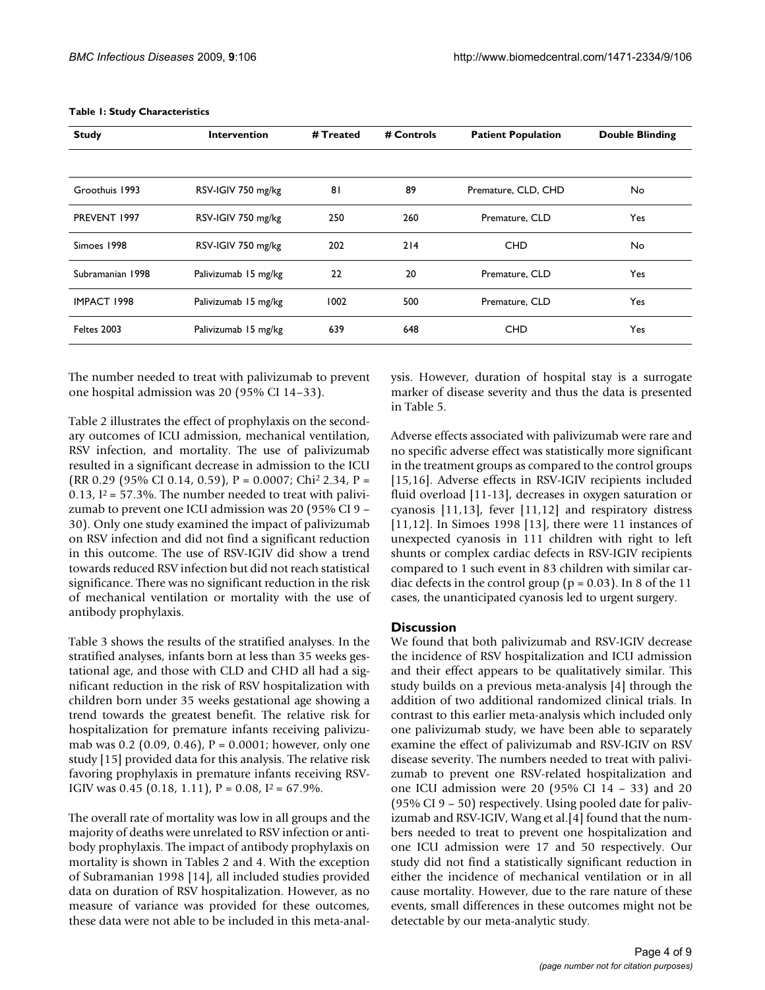| <b>Study</b>     | <b>Intervention</b>  | # Treated | # Controls | <b>Patient Population</b> | <b>Double Blinding</b> |
|------------------|----------------------|-----------|------------|---------------------------|------------------------|
|                  |                      |           |            |                           |                        |
| Groothuis 1993   | RSV-IGIV 750 mg/kg   | 81        | 89         | Premature, CLD, CHD       | No.                    |
| PREVENT 1997     | RSV-IGIV 750 mg/kg   | 250       | 260        | Premature, CLD            | Yes                    |
| Simoes 1998      | RSV-IGIV 750 mg/kg   | 202       | 214        | <b>CHD</b>                | No.                    |
| Subramanian 1998 | Palivizumab 15 mg/kg | 22        | 20         | Premature, CLD            | Yes                    |
| IMPACT 1998      | Palivizumab 15 mg/kg | 1002      | 500        | Premature, CLD            | Yes                    |
| Feltes 2003      | Palivizumab 15 mg/kg | 639       | 648        | <b>CHD</b>                | Yes                    |

#### **Table 1: Study Characteristics**

The number needed to treat with palivizumab to prevent one hospital admission was 20 (95% CI 14–33).

Table 2 illustrates the effect of prophylaxis on the secondary outcomes of ICU admission, mechanical ventilation, RSV infection, and mortality. The use of palivizumab resulted in a significant decrease in admission to the ICU (RR 0.29 (95% CI 0.14, 0.59),  $P = 0.0007$ ; Chi<sup>2</sup> 2.34,  $P =$ 0.13,  $I^2 = 57.3\%$ . The number needed to treat with palivizumab to prevent one ICU admission was 20 (95% CI 9 – 30). Only one study examined the impact of palivizumab on RSV infection and did not find a significant reduction in this outcome. The use of RSV-IGIV did show a trend towards reduced RSV infection but did not reach statistical significance. There was no significant reduction in the risk of mechanical ventilation or mortality with the use of antibody prophylaxis.

Table 3 shows the results of the stratified analyses. In the stratified analyses, infants born at less than 35 weeks gestational age, and those with CLD and CHD all had a significant reduction in the risk of RSV hospitalization with children born under 35 weeks gestational age showing a trend towards the greatest benefit. The relative risk for hospitalization for premature infants receiving palivizumab was 0.2 (0.09, 0.46),  $P = 0.0001$ ; however, only one study [15] provided data for this analysis. The relative risk favoring prophylaxis in premature infants receiving RSV-IGIV was 0.45 (0.18, 1.11),  $P = 0.08$ ,  $I^2 = 67.9\%$ .

The overall rate of mortality was low in all groups and the majority of deaths were unrelated to RSV infection or antibody prophylaxis. The impact of antibody prophylaxis on mortality is shown in Tables 2 and 4. With the exception of Subramanian 1998 [14], all included studies provided data on duration of RSV hospitalization. However, as no measure of variance was provided for these outcomes, these data were not able to be included in this meta-analysis. However, duration of hospital stay is a surrogate marker of disease severity and thus the data is presented in Table 5.

Adverse effects associated with palivizumab were rare and no specific adverse effect was statistically more significant in the treatment groups as compared to the control groups [15,16]. Adverse effects in RSV-IGIV recipients included fluid overload [11-13], decreases in oxygen saturation or cyanosis [11,13], fever [11,12] and respiratory distress [11,12]. In Simoes 1998 [13], there were 11 instances of unexpected cyanosis in 111 children with right to left shunts or complex cardiac defects in RSV-IGIV recipients compared to 1 such event in 83 children with similar cardiac defects in the control group ( $p = 0.03$ ). In 8 of the 11 cases, the unanticipated cyanosis led to urgent surgery.

# **Discussion**

We found that both palivizumab and RSV-IGIV decrease the incidence of RSV hospitalization and ICU admission and their effect appears to be qualitatively similar. This study builds on a previous meta-analysis [4] through the addition of two additional randomized clinical trials. In contrast to this earlier meta-analysis which included only one palivizumab study, we have been able to separately examine the effect of palivizumab and RSV-IGIV on RSV disease severity. The numbers needed to treat with palivizumab to prevent one RSV-related hospitalization and one ICU admission were 20 (95% CI 14 – 33) and 20 (95% CI 9 – 50) respectively. Using pooled date for palivizumab and RSV-IGIV, Wang et al.[4] found that the numbers needed to treat to prevent one hospitalization and one ICU admission were 17 and 50 respectively. Our study did not find a statistically significant reduction in either the incidence of mechanical ventilation or in all cause mortality. However, due to the rare nature of these events, small differences in these outcomes might not be detectable by our meta-analytic study.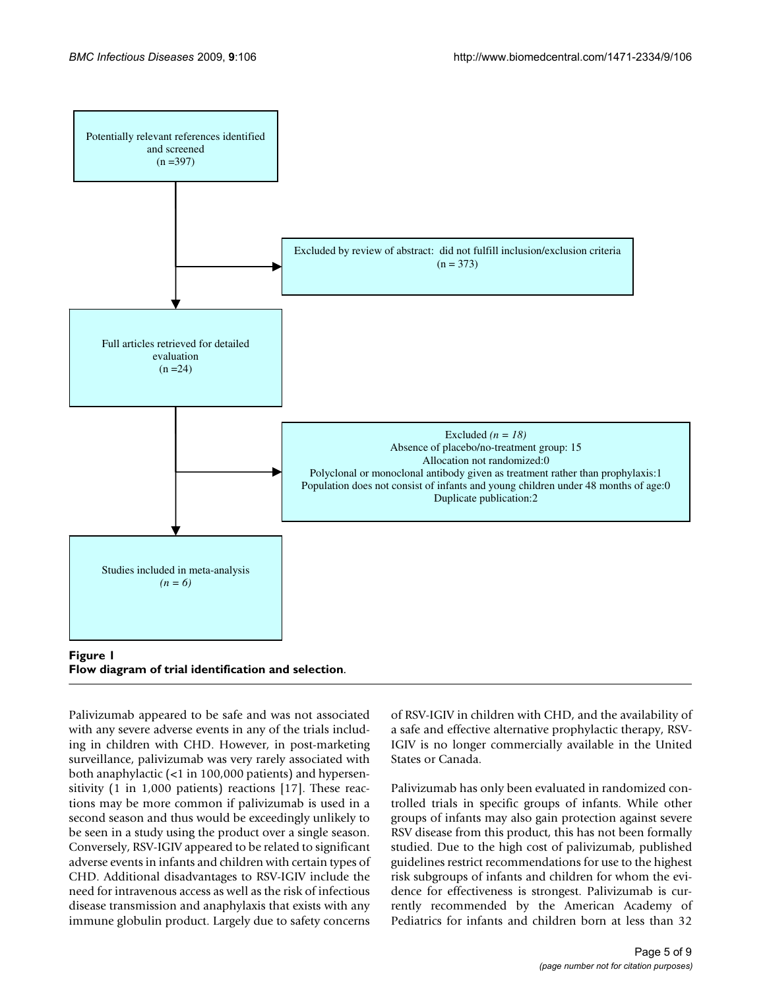

**Flow diagram of trial identification and selection**.

Palivizumab appeared to be safe and was not associated with any severe adverse events in any of the trials including in children with CHD. However, in post-marketing surveillance, palivizumab was very rarely associated with both anaphylactic (<1 in 100,000 patients) and hypersensitivity (1 in 1,000 patients) reactions [17]. These reactions may be more common if palivizumab is used in a second season and thus would be exceedingly unlikely to be seen in a study using the product over a single season. Conversely, RSV-IGIV appeared to be related to significant adverse events in infants and children with certain types of CHD. Additional disadvantages to RSV-IGIV include the need for intravenous access as well as the risk of infectious disease transmission and anaphylaxis that exists with any immune globulin product. Largely due to safety concerns

of RSV-IGIV in children with CHD, and the availability of a safe and effective alternative prophylactic therapy, RSV-IGIV is no longer commercially available in the United States or Canada.

Palivizumab has only been evaluated in randomized controlled trials in specific groups of infants. While other groups of infants may also gain protection against severe RSV disease from this product, this has not been formally studied. Due to the high cost of palivizumab, published guidelines restrict recommendations for use to the highest risk subgroups of infants and children for whom the evidence for effectiveness is strongest. Palivizumab is currently recommended by the American Academy of Pediatrics for infants and children born at less than 32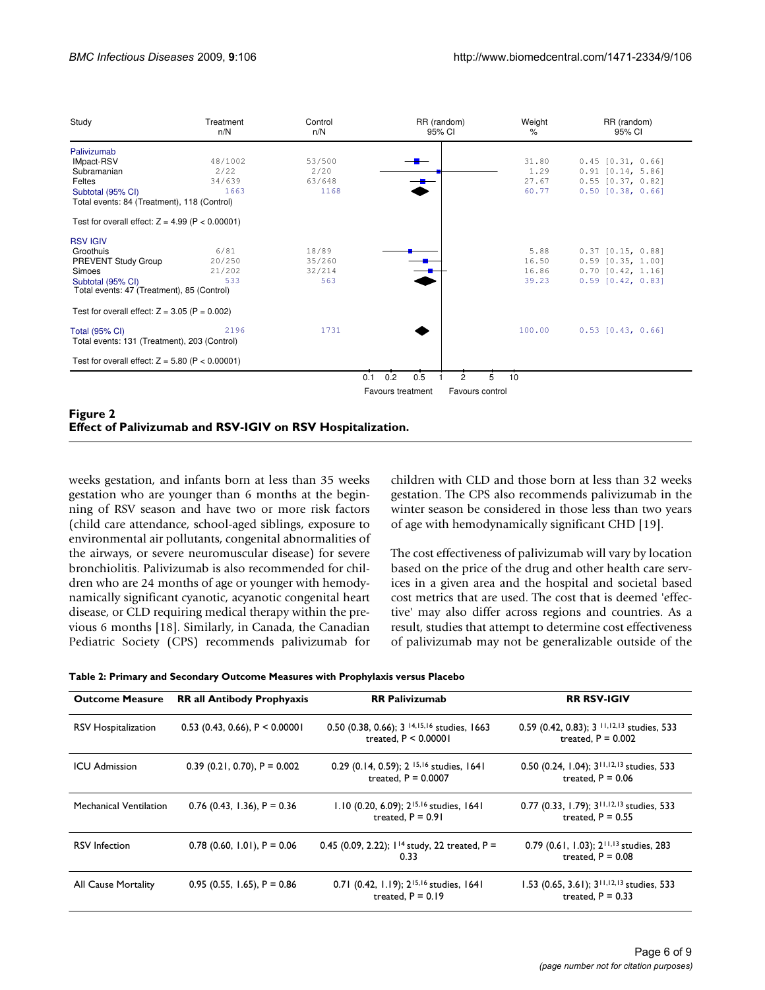| Study                                                                 | Treatment<br>n/N | Control<br>n/N | RR (random)<br>95% CI                       | Weight<br>% | RR (random)<br>95% CI |
|-----------------------------------------------------------------------|------------------|----------------|---------------------------------------------|-------------|-----------------------|
| Palivizumab                                                           |                  |                |                                             |             |                       |
| <b>IMpact-RSV</b>                                                     | 48/1002          | 53/500         |                                             | 31.80       | $0.45$ $[0.31, 0.66]$ |
| Subramanian                                                           | 2/22             | 2/20           |                                             | 1.29        | $0.91$ $[0.14, 5.86]$ |
| Feltes                                                                | 34/639           | 63/648         |                                             | 27.67       | $0.55$ $[0.37, 0.82]$ |
| Subtotal (95% CI)                                                     | 1663             | 1168           |                                             | 60.77       | $0.50$ $[0.38, 0.66]$ |
| Total events: 84 (Treatment), 118 (Control)                           |                  |                |                                             |             |                       |
| Test for overall effect: $Z = 4.99$ (P < 0.00001)                     |                  |                |                                             |             |                       |
| <b>RSV IGIV</b>                                                       |                  |                |                                             |             |                       |
| Groothuis                                                             | 6/81             | 18/89          |                                             | 5.88        | $0.37$ $[0.15, 0.88]$ |
| PREVENT Study Group                                                   | 20/250           | 35/260         |                                             | 16.50       | $0.59$ $[0.35, 1.00]$ |
| Simoes                                                                | 21/202           | 32/214         |                                             | 16.86       | $0.70$ $[0.42, 1.16]$ |
| Subtotal (95% CI)<br>Total events: 47 (Treatment), 85 (Control)       | 533              | 563            |                                             | 39.23       | $0.59$ $[0.42, 0.83]$ |
|                                                                       |                  |                |                                             |             |                       |
| Test for overall effect: $Z = 3.05$ (P = 0.002)                       |                  |                |                                             |             |                       |
| <b>Total (95% CI)</b><br>Total events: 131 (Treatment), 203 (Control) | 2196             | 1731           |                                             | 100.00      | $0.53$ $[0.43, 0.66]$ |
| Test for overall effect: $Z = 5.80$ (P < 0.00001)                     |                  |                |                                             |             |                       |
|                                                                       |                  | 0.1            | 0.2<br>0.5<br>$\overline{c}$                | 5<br>10     |                       |
|                                                                       |                  |                | Favours control<br><b>Favours treatment</b> |             |                       |

# **Figure 2 Effect of Palivizumab and RSV-IGIV on RSV Hospitalization.**

weeks gestation, and infants born at less than 35 weeks gestation who are younger than 6 months at the beginning of RSV season and have two or more risk factors (child care attendance, school-aged siblings, exposure to environmental air pollutants, congenital abnormalities of the airways, or severe neuromuscular disease) for severe bronchiolitis. Palivizumab is also recommended for children who are 24 months of age or younger with hemodynamically significant cyanotic, acyanotic congenital heart disease, or CLD requiring medical therapy within the previous 6 months [18]. Similarly, in Canada, the Canadian Pediatric Society (CPS) recommends palivizumab for children with CLD and those born at less than 32 weeks gestation. The CPS also recommends palivizumab in the winter season be considered in those less than two years of age with hemodynamically significant CHD [19].

The cost effectiveness of palivizumab will vary by location based on the price of the drug and other health care services in a given area and the hospital and societal based cost metrics that are used. The cost that is deemed 'effective' may also differ across regions and countries. As a result, studies that attempt to determine cost effectiveness of palivizumab may not be generalizable outside of the

|  | Table 2: Primary and Secondary Outcome Measures with Prophylaxis versus Placebo |  |
|--|---------------------------------------------------------------------------------|--|
|  |                                                                                 |  |

| <b>Outcome Measure</b>        | <b>RR all Antibody Prophyaxis</b> | <b>RR Palivizumab</b>                                                            | <b>RR RSV-IGIV</b>                                                           |
|-------------------------------|-----------------------------------|----------------------------------------------------------------------------------|------------------------------------------------------------------------------|
|                               |                                   |                                                                                  |                                                                              |
| <b>RSV Hospitalization</b>    | $0.53$ (0.43, 0.66), P < 0.00001  | 0.50 (0.38, 0.66); 3 <sup>14,15,16</sup> studies, 1663<br>treated, $P < 0.00001$ | 0.59 (0.42, 0.83); $3$ 11,12,13 studies, 533<br>treated, $P = 0.002$         |
| <b>ICU Admission</b>          | $0.39$ (0.21, 0.70), P = 0.002    | 0.29 (0.14, 0.59); $2^{15,16}$ studies, 1641<br>treated, $P = 0.0007$            | 0.50 (0.24, 1.04); $3^{11,12,13}$ studies, 533<br>treated, $P = 0.06$        |
| <b>Mechanical Ventilation</b> | $0.76$ (0.43, 1.36), P = 0.36     | 1.10 (0.20, 6.09); $2^{15,16}$ studies, 1641<br>treated, $P = 0.91$              | 0.77 (0.33, 1.79); $3^{11,12,13}$ studies, 533<br>treated, $P = 0.55$        |
| <b>RSV</b> Infection          | $0.78$ (0.60, 1.01), P = 0.06     | 0.45 (0.09, 2.22); $1^{14}$ study, 22 treated, P =<br>0.33                       | 0.79 (0.61, 1.03); 2 <sup>11,13</sup> studies, 283<br>treated, $P = 0.08$    |
| <b>All Cause Mortality</b>    | $0.95$ (0.55, 1.65), P = 0.86     | 0.71 (0.42, 1.19); 2 <sup>15,16</sup> studies, 1641<br>treated, $P = 0.19$       | 1.53 (0.65, 3.61); 3 <sup>11,12,13</sup> studies, 533<br>treated, $P = 0.33$ |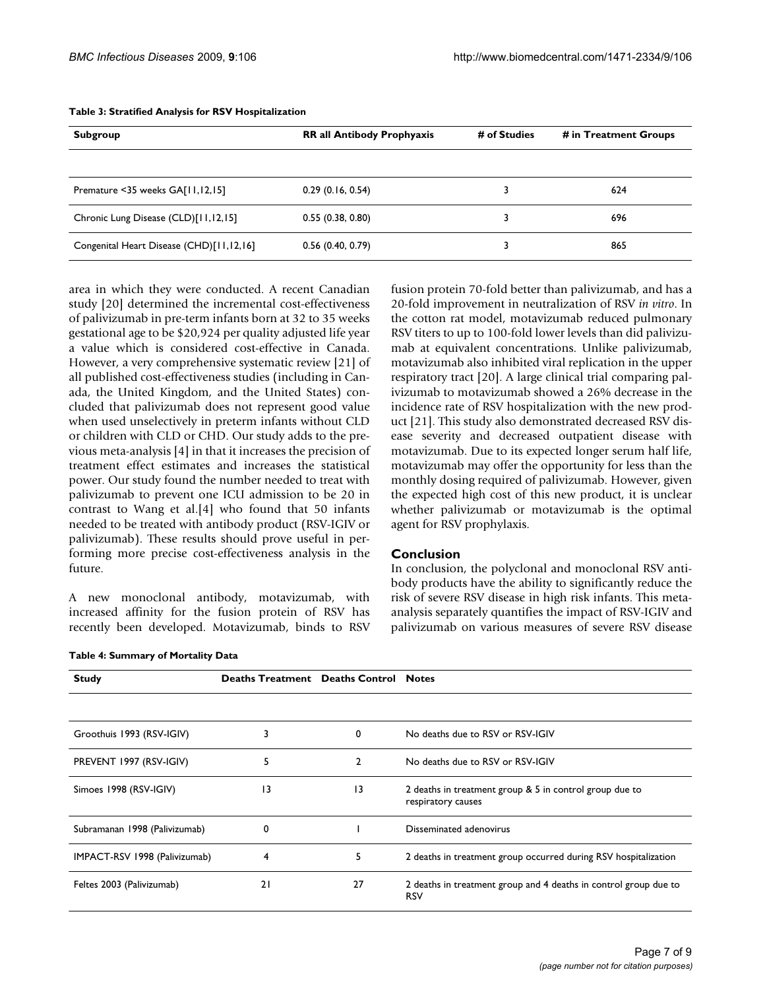| Subgroup                                 | <b>RR all Antibody Prophyaxis</b> | # of Studies | # in Treatment Groups |
|------------------------------------------|-----------------------------------|--------------|-----------------------|
|                                          |                                   |              |                       |
| Premature <35 weeks GA[11,12,15]         | 0.29(0.16, 0.54)                  |              | 624                   |
| Chronic Lung Disease (CLD)[11,12,15]     | 0.55(0.38, 0.80)                  |              | 696                   |
| Congenital Heart Disease (CHD)[11,12,16] | 0.56(0.40, 0.79)                  |              | 865                   |

#### **Table 3: Stratified Analysis for RSV Hospitalization**

area in which they were conducted. A recent Canadian study [20] determined the incremental cost-effectiveness of palivizumab in pre-term infants born at 32 to 35 weeks gestational age to be \$20,924 per quality adjusted life year a value which is considered cost-effective in Canada. However, a very comprehensive systematic review [21] of all published cost-effectiveness studies (including in Canada, the United Kingdom, and the United States) concluded that palivizumab does not represent good value when used unselectively in preterm infants without CLD or children with CLD or CHD. Our study adds to the previous meta-analysis [4] in that it increases the precision of treatment effect estimates and increases the statistical power. Our study found the number needed to treat with palivizumab to prevent one ICU admission to be 20 in contrast to Wang et al.[4] who found that 50 infants needed to be treated with antibody product (RSV-IGIV or palivizumab). These results should prove useful in performing more precise cost-effectiveness analysis in the future.

A new monoclonal antibody, motavizumab, with increased affinity for the fusion protein of RSV has recently been developed. Motavizumab, binds to RSV fusion protein 70-fold better than palivizumab, and has a 20-fold improvement in neutralization of RSV *in vitro*. In the cotton rat model, motavizumab reduced pulmonary RSV titers to up to 100-fold lower levels than did palivizumab at equivalent concentrations. Unlike palivizumab, motavizumab also inhibited viral replication in the upper respiratory tract [20]. A large clinical trial comparing palivizumab to motavizumab showed a 26% decrease in the incidence rate of RSV hospitalization with the new product [21]. This study also demonstrated decreased RSV disease severity and decreased outpatient disease with motavizumab. Due to its expected longer serum half life, motavizumab may offer the opportunity for less than the monthly dosing required of palivizumab. However, given the expected high cost of this new product, it is unclear whether palivizumab or motavizumab is the optimal agent for RSV prophylaxis.

# **Conclusion**

In conclusion, the polyclonal and monoclonal RSV antibody products have the ability to significantly reduce the risk of severe RSV disease in high risk infants. This metaanalysis separately quantifies the impact of RSV-IGIV and palivizumab on various measures of severe RSV disease

| <b>Study</b>                  | <b>Deaths Treatment Deaths Control Notes</b> |                |                                                                                |
|-------------------------------|----------------------------------------------|----------------|--------------------------------------------------------------------------------|
|                               |                                              |                |                                                                                |
| Groothuis 1993 (RSV-IGIV)     | 3                                            | 0              | No deaths due to RSV or RSV-IGIV                                               |
| PREVENT 1997 (RSV-IGIV)       | 5                                            | $\overline{2}$ | No deaths due to RSV or RSV-IGIV                                               |
| Simoes 1998 (RSV-IGIV)        | 13                                           | 13             | 2 deaths in treatment group & 5 in control group due to<br>respiratory causes  |
| Subramanan 1998 (Palivizumab) | 0                                            |                | Disseminated adenovirus                                                        |
| IMPACT-RSV 1998 (Palivizumab) | 4                                            | 5              | 2 deaths in treatment group occurred during RSV hospitalization                |
| Feltes 2003 (Palivizumab)     | 21                                           | 27             | 2 deaths in treatment group and 4 deaths in control group due to<br><b>RSV</b> |

**Table 4: Summary of Mortality Data**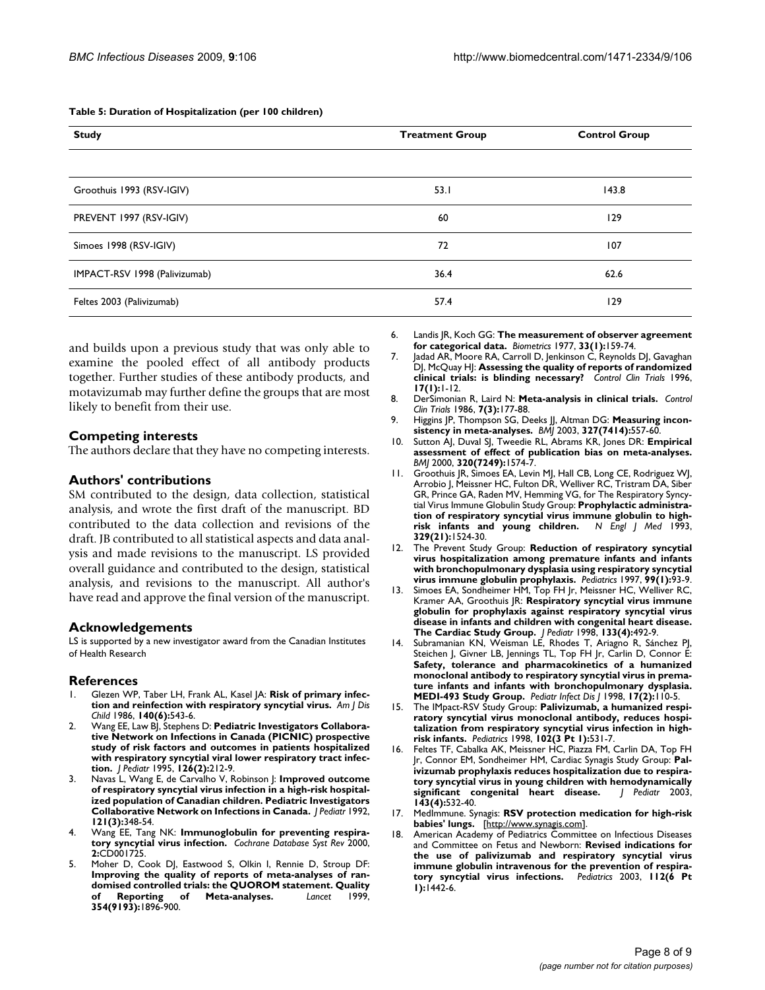| <b>Study</b>                  | <b>Treatment Group</b> | <b>Control Group</b> |
|-------------------------------|------------------------|----------------------|
|                               |                        |                      |
| Groothuis 1993 (RSV-IGIV)     | 53.1                   | 143.8                |
| PREVENT 1997 (RSV-IGIV)       | 60                     | 129                  |
| Simoes 1998 (RSV-IGIV)        | 72                     | 107                  |
| IMPACT-RSV 1998 (Palivizumab) | 36.4                   | 62.6                 |
| Feltes 2003 (Palivizumab)     | 57.4                   | 129                  |

#### **Table 5: Duration of Hospitalization (per 100 children)**

and builds upon a previous study that was only able to examine the pooled effect of all antibody products together. Further studies of these antibody products, and motavizumab may further define the groups that are most likely to benefit from their use.

### **Competing interests**

The authors declare that they have no competing interests.

### **Authors' contributions**

SM contributed to the design, data collection, statistical analysis, and wrote the first draft of the manuscript. BD contributed to the data collection and revisions of the draft. JB contributed to all statistical aspects and data analysis and made revisions to the manuscript. LS provided overall guidance and contributed to the design, statistical analysis, and revisions to the manuscript. All author's have read and approve the final version of the manuscript.

#### **Acknowledgements**

LS is supported by a new investigator award from the Canadian Institutes of Health Research

#### **References**

- 1. Glezen WP, Taber LH, Frank AL, Kasel JA: **[Risk of primary infec](http://www.ncbi.nlm.nih.gov/entrez/query.fcgi?cmd=Retrieve&db=PubMed&dopt=Abstract&list_uids=3706232)[tion and reinfection with respiratory syncytial virus.](http://www.ncbi.nlm.nih.gov/entrez/query.fcgi?cmd=Retrieve&db=PubMed&dopt=Abstract&list_uids=3706232)** *Am J Dis Child* 1986, **140(6):**543-6.
- 2. Wang EE, Law BJ, Stephens D: **[Pediatric Investigators Collabora](http://www.ncbi.nlm.nih.gov/entrez/query.fcgi?cmd=Retrieve&db=PubMed&dopt=Abstract&list_uids=7844667)[tive Network on Infections in Canada \(PICNIC\) prospective](http://www.ncbi.nlm.nih.gov/entrez/query.fcgi?cmd=Retrieve&db=PubMed&dopt=Abstract&list_uids=7844667) study of risk factors and outcomes in patients hospitalized with respiratory syncytial viral lower respiratory tract infec[tion.](http://www.ncbi.nlm.nih.gov/entrez/query.fcgi?cmd=Retrieve&db=PubMed&dopt=Abstract&list_uids=7844667)** *J Pediatr* 1995, **126(2):**212-9.
- 3. Navas L, Wang E, de Carvalho V, Robinson J: **[Improved outcome](http://www.ncbi.nlm.nih.gov/entrez/query.fcgi?cmd=Retrieve&db=PubMed&dopt=Abstract&list_uids=1517907) [of respiratory syncytial virus infection in a high-risk hospital](http://www.ncbi.nlm.nih.gov/entrez/query.fcgi?cmd=Retrieve&db=PubMed&dopt=Abstract&list_uids=1517907)ized population of Canadian children. Pediatric Investigators [Collaborative Network on Infections in Canada.](http://www.ncbi.nlm.nih.gov/entrez/query.fcgi?cmd=Retrieve&db=PubMed&dopt=Abstract&list_uids=1517907)** *J Pediatr* 1992, **121(3):**348-54.
- 4. Wang EE, Tang NK: **[Immunoglobulin for preventing respira](http://www.ncbi.nlm.nih.gov/entrez/query.fcgi?cmd=Retrieve&db=PubMed&dopt=Abstract&list_uids=10796658)[tory syncytial virus infection.](http://www.ncbi.nlm.nih.gov/entrez/query.fcgi?cmd=Retrieve&db=PubMed&dopt=Abstract&list_uids=10796658)** *Cochrane Database Syst Rev* 2000, **2:**CD001725.
- Moher D, Cook DJ, Eastwood S, Olkin I, Rennie D, Stroup DF: **[Improving the quality of reports of meta-analyses of ran](http://www.ncbi.nlm.nih.gov/entrez/query.fcgi?cmd=Retrieve&db=PubMed&dopt=Abstract&list_uids=10584742)**domised controlled trials: the QUOROM statement. Quality<br>of Reporting of Meta-analyses. *Lancet* 1999, **Meta-analyses. 354(9193):**1896-900.

6. Landis JR, Koch GG: **[The measurement of observer agreement](http://www.ncbi.nlm.nih.gov/entrez/query.fcgi?cmd=Retrieve&db=PubMed&dopt=Abstract&list_uids=843571) [for categorical data.](http://www.ncbi.nlm.nih.gov/entrez/query.fcgi?cmd=Retrieve&db=PubMed&dopt=Abstract&list_uids=843571)** *Biometrics* 1977, **33(1):**159-74.

7. Jadad AR, Moore RA, Carroll D, Jenkinson C, Reynolds DJ, Gavaghan DJ, McQuay HJ: **[Assessing the quality of reports of randomized](http://www.ncbi.nlm.nih.gov/entrez/query.fcgi?cmd=Retrieve&db=PubMed&dopt=Abstract&list_uids=8721797) [clinical trials: is blinding necessary?](http://www.ncbi.nlm.nih.gov/entrez/query.fcgi?cmd=Retrieve&db=PubMed&dopt=Abstract&list_uids=8721797)** *Control Clin Trials* 1996, **17(1):**1-12.

- 8. DerSimonian R, Laird N: **[Meta-analysis in clinical trials.](http://www.ncbi.nlm.nih.gov/entrez/query.fcgi?cmd=Retrieve&db=PubMed&dopt=Abstract&list_uids=3802833)** *Control Clin Trials* 1986, **7(3):**177-88.
- 9. Higgins JP, Thompson SG, Deeks JJ, Altman DG: **[Measuring incon](http://www.ncbi.nlm.nih.gov/entrez/query.fcgi?cmd=Retrieve&db=PubMed&dopt=Abstract&list_uids=12958120)[sistency in meta-analyses.](http://www.ncbi.nlm.nih.gov/entrez/query.fcgi?cmd=Retrieve&db=PubMed&dopt=Abstract&list_uids=12958120)** *BMJ* 2003, **327(7414):**557-60.
- 10. Sutton AJ, Duval SJ, Tweedie RL, Abrams KR, Jones DR: **[Empirical](http://www.ncbi.nlm.nih.gov/entrez/query.fcgi?cmd=Retrieve&db=PubMed&dopt=Abstract&list_uids=10845965) [assessment of effect of publication bias on meta-analyses.](http://www.ncbi.nlm.nih.gov/entrez/query.fcgi?cmd=Retrieve&db=PubMed&dopt=Abstract&list_uids=10845965)** *BMJ* 2000, **320(7249):**1574-7.
- 11. Groothuis JR, Simoes EA, Levin MJ, Hall CB, Long CE, Rodriguez WJ, Arrobio J, Meissner HC, Fulton DR, Welliver RC, Tristram DA, Siber GR, Prince GA, Raden MV, Hemming VG, for The Respiratory Syncytial Virus Immune Globulin Study Group: **[Prophylactic administra](http://www.ncbi.nlm.nih.gov/entrez/query.fcgi?cmd=Retrieve&db=PubMed&dopt=Abstract&list_uids=8413475)tion of respiratory syncytial virus immune globulin to high-<br>risk infants and young children.** N Engl J Med 1993, [risk infants and young children.](http://www.ncbi.nlm.nih.gov/entrez/query.fcgi?cmd=Retrieve&db=PubMed&dopt=Abstract&list_uids=8413475) **329(21):**1524-30.
- 12. The Prevent Study Group: **[Reduction of respiratory syncytial](http://www.ncbi.nlm.nih.gov/entrez/query.fcgi?cmd=Retrieve&db=PubMed&dopt=Abstract&list_uids=8989345) [virus hospitalization among premature infants and infants](http://www.ncbi.nlm.nih.gov/entrez/query.fcgi?cmd=Retrieve&db=PubMed&dopt=Abstract&list_uids=8989345) with bronchopulmonary dysplasia using respiratory syncytial [virus immune globulin prophylaxis.](http://www.ncbi.nlm.nih.gov/entrez/query.fcgi?cmd=Retrieve&db=PubMed&dopt=Abstract&list_uids=8989345)** *Pediatrics* 1997, **99(1):**93-9.
- Simoes EA, Sondheimer HM, Top FH Jr, Meissner HC, Welliver RC, Kramer AA, Groothuis JR: **[Respiratory syncytial virus immune](http://www.ncbi.nlm.nih.gov/entrez/query.fcgi?cmd=Retrieve&db=PubMed&dopt=Abstract&list_uids=9787686) [globulin for prophylaxis against respiratory syncytial virus](http://www.ncbi.nlm.nih.gov/entrez/query.fcgi?cmd=Retrieve&db=PubMed&dopt=Abstract&list_uids=9787686) disease in infants and children with congenital heart disease. [The Cardiac Study Group.](http://www.ncbi.nlm.nih.gov/entrez/query.fcgi?cmd=Retrieve&db=PubMed&dopt=Abstract&list_uids=9787686)** *J Pediatr* 1998, **133(4):**492-9.
- 14. Subramanian KN, Weisman LE, Rhodes T, Ariagno R, Sánchez PJ, Steichen J, Givner LB, Jennings TL, Top FH Jr, Carlin D, Connor E: **Safety, tolerance and pharmacokinetics of a humanized [monoclonal antibody to respiratory syncytial virus in prema](http://www.ncbi.nlm.nih.gov/entrez/query.fcgi?cmd=Retrieve&db=PubMed&dopt=Abstract&list_uids=9493805)ture infants and infants with bronchopulmonary dysplasia. [MEDI-493 Study Group.](http://www.ncbi.nlm.nih.gov/entrez/query.fcgi?cmd=Retrieve&db=PubMed&dopt=Abstract&list_uids=9493805)** *Pediatr Infect Dis J* 1998, **17(2):**110-5.
- 15. The IMpact-RSV Study Group: **Palivizumab, a humanized respiratory syncytial virus monoclonal antibody, reduces hospitalization from respiratory syncytial virus infection in highrisk infants.** *Pediatrics* 1998, **102(3 Pt 1):**531-7.
- 16. Feltes TF, Cabalka AK, Meissner HC, Piazza FM, Carlin DA, Top FH Jr, Connor EM, Sondheimer HM, Cardiac Synagis Study Group: **[Pal](http://www.ncbi.nlm.nih.gov/entrez/query.fcgi?cmd=Retrieve&db=PubMed&dopt=Abstract&list_uids=14571236)[ivizumab prophylaxis reduces hospitalization due to respira](http://www.ncbi.nlm.nih.gov/entrez/query.fcgi?cmd=Retrieve&db=PubMed&dopt=Abstract&list_uids=14571236)tory syncytial virus in young children with hemodynamically**  $significant$  congenital heart disease. **143(4):**532-40.
- 17. MedImmune. Synagis: **RSV protection medication for high-risk babies' lungs.** [<http://www.synagis.com>].
- 18. American Academy of Pediatrics Committee on Infectious Diseases and Committee on Fetus and Newborn: **[Revised indications for](http://www.ncbi.nlm.nih.gov/entrez/query.fcgi?cmd=Retrieve&db=PubMed&dopt=Abstract&list_uids=14654627) [the use of palivizumab and respiratory syncytial virus](http://www.ncbi.nlm.nih.gov/entrez/query.fcgi?cmd=Retrieve&db=PubMed&dopt=Abstract&list_uids=14654627) immune globulin intravenous for the prevention of respira[tory syncytial virus infections.](http://www.ncbi.nlm.nih.gov/entrez/query.fcgi?cmd=Retrieve&db=PubMed&dopt=Abstract&list_uids=14654627)** *Pediatrics* 2003, **112(6 Pt 1):**1442-6.